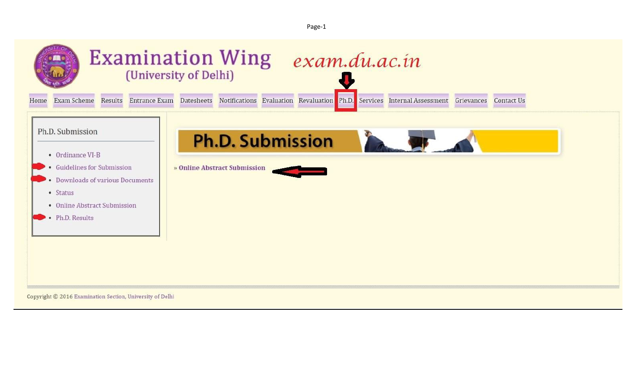Page-1